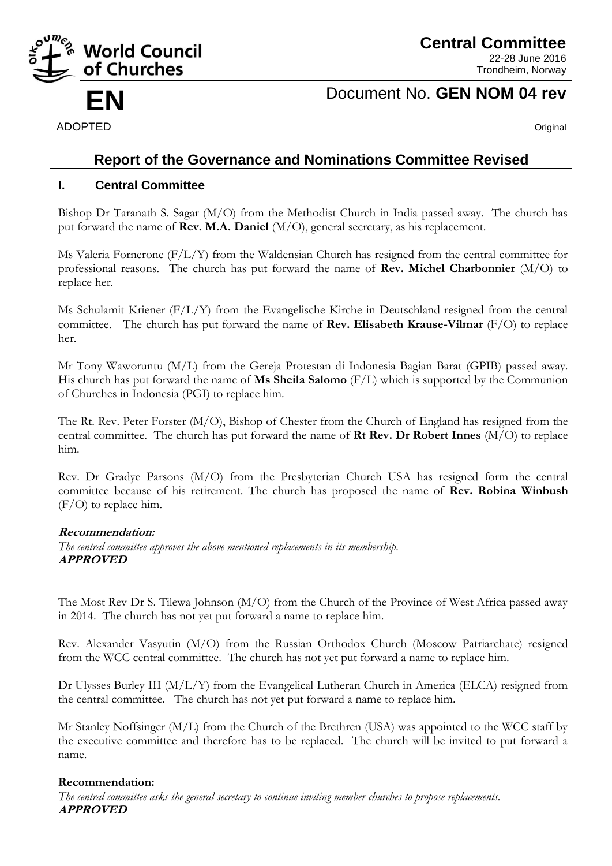

**Central Committee** 22-28 June 2016

Trondheim, Norway

# **EN** Document No. **GEN NOM 04 rev**

ADOPTED **Original** 

# **Report of the Governance and Nominations Committee Revised**

# **I. Central Committee**

Bishop Dr Taranath S. Sagar (M/O) from the Methodist Church in India passed away. The church has put forward the name of **Rev. M.A. Daniel** (M/O), general secretary, as his replacement.

Ms Valeria Fornerone (F/L/Y) from the Waldensian Church has resigned from the central committee for professional reasons. The church has put forward the name of **Rev. Michel Charbonnier** (M/O) to replace her.

Ms Schulamit Kriener (F/L/Y) from the Evangelische Kirche in Deutschland resigned from the central committee. The church has put forward the name of **Rev. Elisabeth Krause-Vilmar** (F/O) to replace her.

Mr Tony Waworuntu (M/L) from the Gereja Protestan di Indonesia Bagian Barat (GPIB) passed away. His church has put forward the name of **Ms Sheila Salomo** (F/L) which is supported by the Communion of Churches in Indonesia (PGI) to replace him.

The Rt. Rev. Peter Forster (M/O), Bishop of Chester from the Church of England has resigned from the central committee. The church has put forward the name of **Rt Rev. Dr Robert Innes** (M/O) to replace him.

Rev. Dr Gradye Parsons (M/O) from the Presbyterian Church USA has resigned form the central committee because of his retirement. The church has proposed the name of **Rev. Robina Winbush** (F/O) to replace him.

## **Recommendation:**

*The central committee approves the above mentioned replacements in its membership.* **APPROVED**

The Most Rev Dr S. Tilewa Johnson (M/O) from the Church of the Province of West Africa passed away in 2014. The church has not yet put forward a name to replace him.

Rev. Alexander Vasyutin (M/O) from the Russian Orthodox Church (Moscow Patriarchate) resigned from the WCC central committee. The church has not yet put forward a name to replace him.

Dr Ulysses Burley III (M/L/Y) from the Evangelical Lutheran Church in America (ELCA) resigned from the central committee. The church has not yet put forward a name to replace him.

Mr Stanley Noffsinger (M/L) from the Church of the Brethren (USA) was appointed to the WCC staff by the executive committee and therefore has to be replaced. The church will be invited to put forward a name.

#### **Recommendation:**

*The central committee asks the general secretary to continue inviting member churches to propose replacements.* **APPROVED**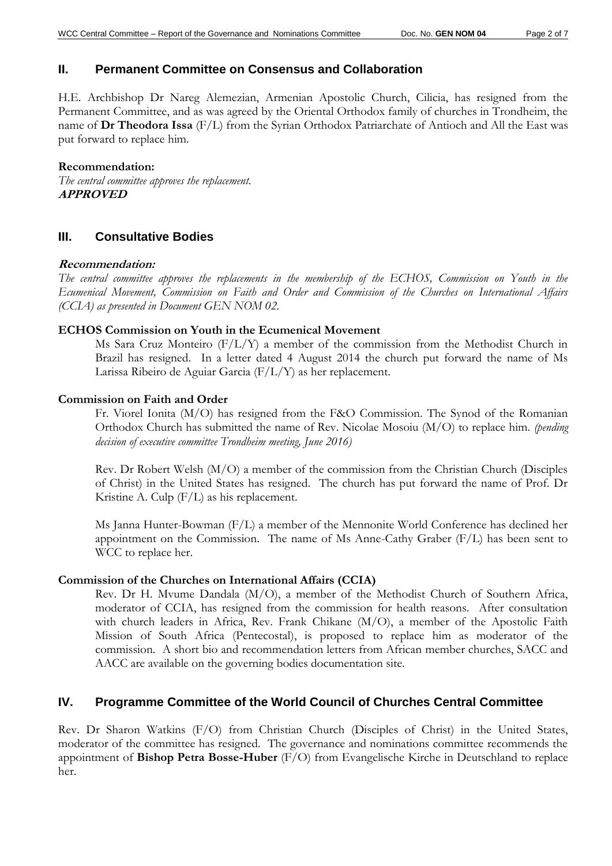## **II. Permanent Committee on Consensus and Collaboration**

H.E. Archbishop Dr Nareg Alemezian, Armenian Apostolic Church, Cilicia, has resigned from the Permanent Committee, and as was agreed by the Oriental Orthodox family of churches in Trondheim, the name of **Dr Theodora Issa** (F/L) from the Syrian Orthodox Patriarchate of Antioch and All the East was put forward to replace him.

#### **Recommendation:**

*The central committee approves the replacement.*  **APPROVED**

## **III. Consultative Bodies**

#### **Recommendation:**

*The central committee approves the replacements in the membership of the ECHOS, Commission on Youth in the Ecumenical Movement, Commission on Faith and Order and Commission of the Churches on International Affairs (CCIA) as presented in Document GEN NOM 02.* 

#### **ECHOS Commission on Youth in the Ecumenical Movement**

Ms Sara Cruz Monteiro (F/L/Y) a member of the commission from the Methodist Church in Brazil has resigned. In a letter dated 4 August 2014 the church put forward the name of Ms Larissa Ribeiro de Aguiar Garcia (F/L/Y) as her replacement.

#### **Commission on Faith and Order**

Fr. Viorel Ionita (M/O) has resigned from the F&O Commission. The Synod of the Romanian Orthodox Church has submitted the name of Rev. Nicolae Mosoiu (M/O) to replace him. *(pending decision of executive committee Trondheim meeting, June 2016)*

Rev. Dr Robert Welsh (M/O) a member of the commission from the Christian Church (Disciples of Christ) in the United States has resigned. The church has put forward the name of Prof. Dr Kristine A. Culp (F/L) as his replacement.

Ms Janna Hunter-Bowman (F/L) a member of the Mennonite World Conference has declined her appointment on the Commission. The name of Ms Anne-Cathy Graber (F/L) has been sent to WCC to replace her.

#### **Commission of the Churches on International Affairs (CCIA)**

Rev. Dr H. Mvume Dandala (M/O), a member of the Methodist Church of Southern Africa, moderator of CCIA, has resigned from the commission for health reasons. After consultation with church leaders in Africa, Rev. Frank Chikane (M/O), a member of the Apostolic Faith Mission of South Africa (Pentecostal), is proposed to replace him as moderator of the commission. A short bio and recommendation letters from African member churches, SACC and AACC are available on the governing bodies documentation site.

## **IV. Programme Committee of the World Council of Churches Central Committee**

Rev. Dr Sharon Watkins (F/O) from Christian Church (Disciples of Christ) in the United States, moderator of the committee has resigned. The governance and nominations committee recommends the appointment of **Bishop Petra Bosse-Huber** (F/O) from Evangelische Kirche in Deutschland to replace her.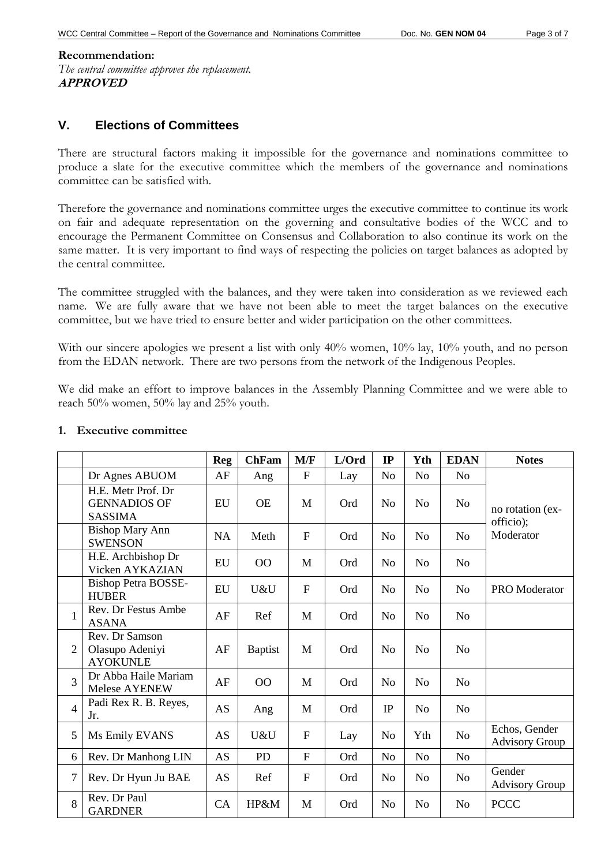## **Recommendation:** *The central committee approves the replacement.* **APPROVED**

# **V. Elections of Committees**

There are structural factors making it impossible for the governance and nominations committee to produce a slate for the executive committee which the members of the governance and nominations committee can be satisfied with.

Therefore the governance and nominations committee urges the executive committee to continue its work on fair and adequate representation on the governing and consultative bodies of the WCC and to encourage the Permanent Committee on Consensus and Collaboration to also continue its work on the same matter. It is very important to find ways of respecting the policies on target balances as adopted by the central committee.

The committee struggled with the balances, and they were taken into consideration as we reviewed each name. We are fully aware that we have not been able to meet the target balances on the executive committee, but we have tried to ensure better and wider participation on the other committees.

With our sincere apologies we present a list with only 40% women, 10% lay, 10% youth, and no person from the EDAN network. There are two persons from the network of the Indigenous Peoples.

We did make an effort to improve balances in the Assembly Planning Committee and we were able to reach 50% women, 50% lay and 25% youth.

|                |                                                             | <b>Reg</b> | <b>ChFam</b>   | M/F          | L/Ord | IP             | Yth            | <b>EDAN</b>    | <b>Notes</b>                           |  |
|----------------|-------------------------------------------------------------|------------|----------------|--------------|-------|----------------|----------------|----------------|----------------------------------------|--|
|                | Dr Agnes ABUOM                                              | AF         | Ang            | ${\bf F}$    | Lay   | N <sub>o</sub> | N <sub>o</sub> | N <sub>o</sub> |                                        |  |
|                | H.E. Metr Prof. Dr<br><b>GENNADIOS OF</b><br><b>SASSIMA</b> | EU         | <b>OE</b>      | M            | Ord   | No             | No             | N <sub>o</sub> | no rotation (ex-<br>officio);          |  |
|                | <b>Bishop Mary Ann</b><br><b>SWENSON</b>                    | <b>NA</b>  | Meth           | $\mathbf F$  | Ord   | N <sub>o</sub> | N <sub>o</sub> | N <sub>o</sub> | Moderator                              |  |
|                | H.E. Archbishop Dr<br>Vicken AYKAZIAN                       | EU         | 00             | M            | Ord   | No             | N <sub>o</sub> | N <sub>0</sub> |                                        |  |
|                | <b>Bishop Petra BOSSE-</b><br><b>HUBER</b>                  | EU         | U&U            | ${\bf F}$    | Ord   | N <sub>0</sub> | N <sub>o</sub> | N <sub>0</sub> | PRO Moderator                          |  |
| $\mathbf{1}$   | Rev. Dr Festus Ambe<br><b>ASANA</b>                         | AF         | Ref            | M            | Ord   | No             | No             | N <sub>o</sub> |                                        |  |
| $\overline{2}$ | Rev. Dr Samson<br>Olasupo Adeniyi<br><b>AYOKUNLE</b>        | AF         | <b>Baptist</b> | M            | Ord   | N <sub>o</sub> | N <sub>o</sub> | N <sub>0</sub> |                                        |  |
| $\overline{3}$ | Dr Abba Haile Mariam<br><b>Melese AYENEW</b>                | AF         | O <sub>O</sub> | M            | Ord   | N <sub>o</sub> | N <sub>o</sub> | N <sub>o</sub> |                                        |  |
| $\overline{4}$ | Padi Rex R. B. Reyes,<br>Jr.                                | <b>AS</b>  | Ang            | M            | Ord   | IP             | N <sub>o</sub> | N <sub>o</sub> |                                        |  |
| 5              | Ms Emily EVANS                                              | <b>AS</b>  | U&U            | $\mathbf F$  | Lay   | N <sub>o</sub> | Yth            | N <sub>o</sub> | Echos, Gender<br><b>Advisory Group</b> |  |
| 6              | Rev. Dr Manhong LIN                                         | <b>AS</b>  | PD             | $\mathbf{F}$ | Ord   | N <sub>o</sub> | N <sub>o</sub> | N <sub>o</sub> |                                        |  |
| $\overline{7}$ | Rev. Dr Hyun Ju BAE                                         | AS         | Ref            | $\mathbf F$  | Ord   | N <sub>o</sub> | N <sub>o</sub> | N <sub>o</sub> | Gender<br><b>Advisory Group</b>        |  |
| 8              | Rev. Dr Paul<br><b>GARDNER</b>                              | CA         | HP&M           | M            | Ord   | N <sub>o</sub> | N <sub>o</sub> | N <sub>o</sub> | <b>PCCC</b>                            |  |

### **1. Executive committee**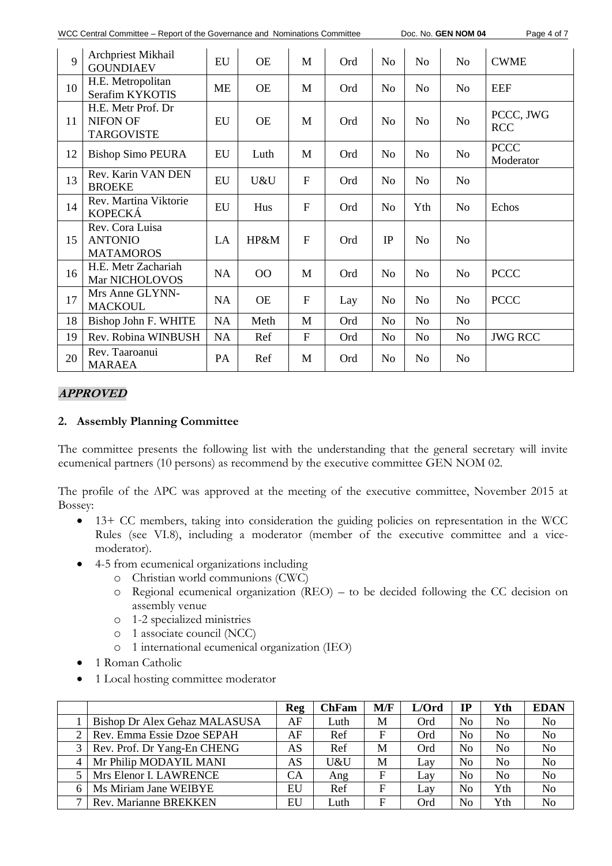| WCC Central Committee – Report of the Governance and Nominations Committee |  |
|----------------------------------------------------------------------------|--|
|----------------------------------------------------------------------------|--|

Doc. No. **GEN NOM 04** Page 4 of 7

| $\mathbf Q$ | Archpriest Mikhail<br><b>GOUNDIAEV</b>                     | EU        | <b>OE</b> | M            | Ord | N <sub>o</sub> | N <sub>o</sub> | N <sub>o</sub> | <b>CWME</b>              |  |
|-------------|------------------------------------------------------------|-----------|-----------|--------------|-----|----------------|----------------|----------------|--------------------------|--|
| 10          | H.E. Metropolitan<br>Serafim KYKOTIS                       | <b>ME</b> | <b>OE</b> | M            | Ord | N <sub>o</sub> | N <sub>o</sub> | N <sub>o</sub> | <b>EEF</b>               |  |
| 11          | H.E. Metr Prof. Dr<br><b>NIFON OF</b><br><b>TARGOVISTE</b> | EU        | <b>OE</b> | M            | Ord | N <sub>o</sub> | N <sub>o</sub> | N <sub>o</sub> | PCCC, JWG<br><b>RCC</b>  |  |
| 12          | <b>Bishop Simo PEURA</b>                                   | EU        | Luth      | M            | Ord | N <sub>o</sub> | N <sub>o</sub> | N <sub>o</sub> | <b>PCCC</b><br>Moderator |  |
| 13          | Rev. Karin VAN DEN<br><b>BROEKE</b>                        | EU        | U&U       | F            | Ord | N <sub>o</sub> | N <sub>o</sub> | N <sub>o</sub> |                          |  |
| 14          | Rev. Martina Viktorie<br><b>KOPECKÁ</b>                    | EU        | Hus       | F            | Ord | N <sub>o</sub> | Yth            | N <sub>o</sub> | Echos                    |  |
| 15          | Rev. Cora Luisa<br><b>ANTONIO</b><br><b>MATAMOROS</b>      | LA        | HP&M      | F            | Ord | IP             | N <sub>o</sub> | N <sub>o</sub> |                          |  |
| 16          | H.E. Metr Zachariah<br>Mar NICHOLOVOS                      | <b>NA</b> | 00        | M            | Ord | N <sub>o</sub> | N <sub>o</sub> | N <sub>o</sub> | <b>PCCC</b>              |  |
| 17          | Mrs Anne GLYNN-<br><b>MACKOUL</b>                          | <b>NA</b> | <b>OE</b> | $\mathbf{F}$ | Lay | N <sub>o</sub> | N <sub>o</sub> | N <sub>o</sub> | <b>PCCC</b>              |  |
| 18          | Bishop John F. WHITE                                       | NA        | Meth      | M            | Ord | N <sub>o</sub> | N <sub>o</sub> | N <sub>o</sub> |                          |  |
| 19          | Rev. Robina WINBUSH                                        | NA        | Ref       | F            | Ord | N <sub>o</sub> | No             | N <sub>0</sub> | <b>JWG RCC</b>           |  |
| 20          | Rev. Taaroanui<br><b>MARAEA</b>                            | PA        | Ref       | M            | Ord | N <sub>0</sub> | N <sub>o</sub> | N <sub>0</sub> |                          |  |

# **APPROVED**

## **2. Assembly Planning Committee**

The committee presents the following list with the understanding that the general secretary will invite ecumenical partners (10 persons) as recommend by the executive committee GEN NOM 02.

The profile of the APC was approved at the meeting of the executive committee, November 2015 at Bossey:

- 13+ CC members, taking into consideration the guiding policies on representation in the WCC Rules (see VI.8), including a moderator (member of the executive committee and a vicemoderator).
- 4-5 from ecumenical organizations including
	- o Christian world communions (CWC)
	- o Regional ecumenical organization (REO) to be decided following the CC decision on assembly venue
	- o 1-2 specialized ministries
	- o 1 associate council (NCC)
	- o 1 international ecumenical organization (IEO)
- 1 Roman Catholic
- 1 Local hosting committee moderator

|                               | Reg | <b>ChFam</b> | M/F | L/Ord | IP             | Yth            | <b>EDAN</b>    |
|-------------------------------|-----|--------------|-----|-------|----------------|----------------|----------------|
| Bishop Dr Alex Gehaz MALASUSA | AF  | Luth         | M   | Ord   | N <sub>0</sub> | No             | No             |
| Rev. Emma Essie Dzoe SEPAH    | AF  | Ref          | F   | Ord   | No             | No             | No             |
| Rev. Prof. Dr Yang-En CHENG   | AS  | Ref          | M   | Ord   | N <sub>0</sub> | No             | No             |
| Mr Philip MODAYIL MANI        | AS  | U&U          | M   | Lay   | N <sub>0</sub> | No             | No             |
| Mrs Elenor I. LAWRENCE        | CA  | Ang          | F   | Lay   | N <sub>0</sub> | N <sub>0</sub> | No             |
| Ms Miriam Jane WEIBYE         | EU  | Ref          | F   | Lay   | No             | Yth            | No             |
| <b>Rev. Marianne BREKKEN</b>  | EU  | Luth         | F   | Ord   | No             | Yth            | N <sub>0</sub> |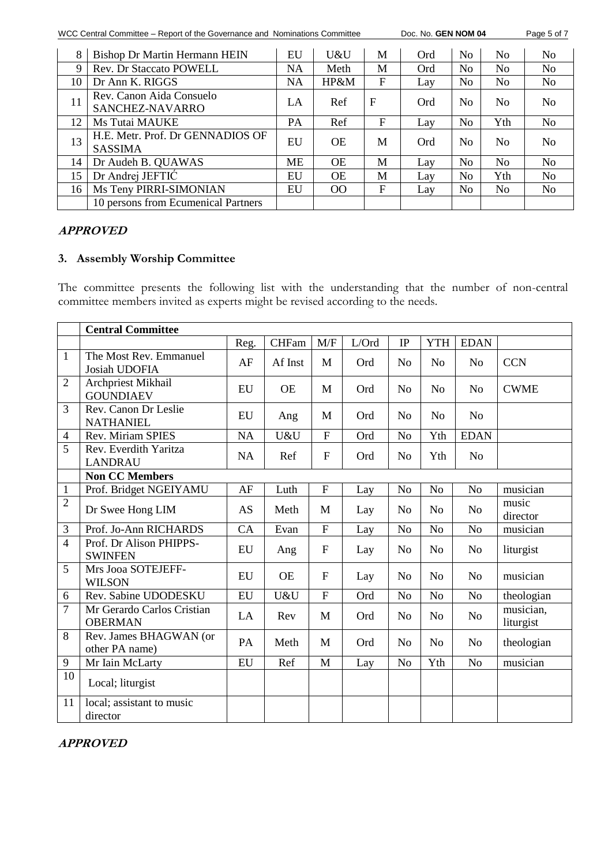WCC Central Committee – Report of the Governance and Nominations Committee Doc. No. **GEN NOM 04** Page 5 of 7

| 8  | Bishop Dr Martin Hermann HEIN                      | EU        | U&U       | M           | Ord | No.            | N <sub>0</sub> | No.            |
|----|----------------------------------------------------|-----------|-----------|-------------|-----|----------------|----------------|----------------|
| 9  | <b>Rev. Dr Staccato POWELL</b>                     | <b>NA</b> | Meth      | M           | Ord | No             | No             | No             |
| 10 | Dr Ann K. RIGGS                                    | <b>NA</b> | HP&M      | F           | Lay | No             | N <sub>0</sub> | No             |
| 11 | Rev. Canon Aida Consuelo<br>SANCHEZ-NAVARRO        | LA        | Ref       | $\mathbf F$ | Ord | No             | N <sub>0</sub> | N <sub>0</sub> |
| 12 | Ms Tutai MAUKE                                     | PA        | Ref       | F           | Lay | N <sub>o</sub> | Yth            | No             |
| 13 | H.E. Metr. Prof. Dr GENNADIOS OF<br><b>SASSIMA</b> | EU        | <b>OE</b> | M           | Ord | N <sub>0</sub> | N <sub>0</sub> | N <sub>0</sub> |
| 14 | Dr Audeh B. QUAWAS                                 | <b>ME</b> | <b>OE</b> | M           | Lay | No             | N <sub>0</sub> | No             |
| 15 | Dr Andrej JEFTIĆ                                   | EU        | <b>OE</b> | M           | Lay | No             | Yth            | No             |
| 16 | Ms Teny PIRRI-SIMONIAN                             | EU        | $\Omega$  | F           | Lay | No             | N <sub>0</sub> | No             |
|    | 10 persons from Ecumenical Partners                |           |           |             |     |                |                |                |

## **APPROVED**

# **3. Assembly Worship Committee**

The committee presents the following list with the understanding that the number of non-central committee members invited as experts might be revised according to the needs.

|                | <b>Central Committee</b>                     |           |              |                           |       |                |                |                |                        |
|----------------|----------------------------------------------|-----------|--------------|---------------------------|-------|----------------|----------------|----------------|------------------------|
|                |                                              | Reg.      | <b>CHFam</b> | M/F                       | L/Ord | IP             | <b>YTH</b>     | <b>EDAN</b>    |                        |
| $\mathbf{1}$   | The Most Rev. Emmanuel<br>Josiah UDOFIA      | AF        | Af Inst      | M                         | Ord   | N <sub>o</sub> | N <sub>0</sub> | N <sub>o</sub> | <b>CCN</b>             |
| $\overline{2}$ | Archpriest Mikhail<br><b>GOUNDIAEV</b>       | EU        | <b>OE</b>    | M                         | Ord   | N <sub>o</sub> | N <sub>o</sub> | N <sub>o</sub> | <b>CWME</b>            |
| 3              | Rev. Canon Dr Leslie<br><b>NATHANIEL</b>     | EU        | Ang          | M                         | Ord   | N <sub>o</sub> | N <sub>o</sub> | N <sub>o</sub> |                        |
| $\overline{4}$ | Rev. Miriam SPIES                            | <b>NA</b> | U&U          | $\overline{F}$            | Ord   | N <sub>o</sub> | Yth            | <b>EDAN</b>    |                        |
| 5              | Rev. Everdith Yaritza<br><b>LANDRAU</b>      | <b>NA</b> | Ref          | $\overline{F}$            | Ord   | N <sub>o</sub> | Yth            | N <sub>o</sub> |                        |
|                | <b>Non CC Members</b>                        |           |              |                           |       |                |                |                |                        |
| $\mathbf{1}$   | Prof. Bridget NGEIYAMU                       | AF        | Luth         | ${\bf F}$                 | Lay   | N <sub>o</sub> | N <sub>o</sub> | N <sub>o</sub> | musician               |
| $\overline{2}$ | Dr Swee Hong LIM                             | AS        | Meth         | M                         | Lay   | N <sub>o</sub> | No             | N <sub>o</sub> | music<br>director      |
| 3              | Prof. Jo-Ann RICHARDS                        | CA        | Evan         | ${\bf F}$                 | Lay   | N <sub>o</sub> | N <sub>o</sub> | N <sub>o</sub> | musician               |
| $\overline{4}$ | Prof. Dr Alison PHIPPS-<br><b>SWINFEN</b>    | EU        | Ang          | $\boldsymbol{\mathrm{F}}$ | Lay   | N <sub>o</sub> | N <sub>o</sub> | N <sub>o</sub> | liturgist              |
| 5              | Mrs Jooa SOTEJEFF-<br><b>WILSON</b>          | EU        | <b>OE</b>    | F                         | Lay   | N <sub>o</sub> | N <sub>o</sub> | N <sub>o</sub> | musician               |
| 6              | Rev. Sabine UDODESKU                         | EU        | U&U          | $\overline{F}$            | Ord   | N <sub>o</sub> | No             | N <sub>o</sub> | theologian             |
| 7              | Mr Gerardo Carlos Cristian<br><b>OBERMAN</b> | LA        | Rev          | M                         | Ord   | N <sub>o</sub> | N <sub>o</sub> | N <sub>o</sub> | musician,<br>liturgist |
| 8              | Rev. James BHAGWAN (or<br>other PA name)     | PA        | Meth         | M                         | Ord   | N <sub>o</sub> | N <sub>o</sub> | N <sub>o</sub> | theologian             |
| 9              | Mr Iain McLarty                              | <b>EU</b> | Ref          | M                         | Lay   | N <sub>o</sub> | Yth            | N <sub>o</sub> | musician               |
| 10             | Local; liturgist                             |           |              |                           |       |                |                |                |                        |
| 11             | local; assistant to music<br>director        |           |              |                           |       |                |                |                |                        |

## **APPROVED**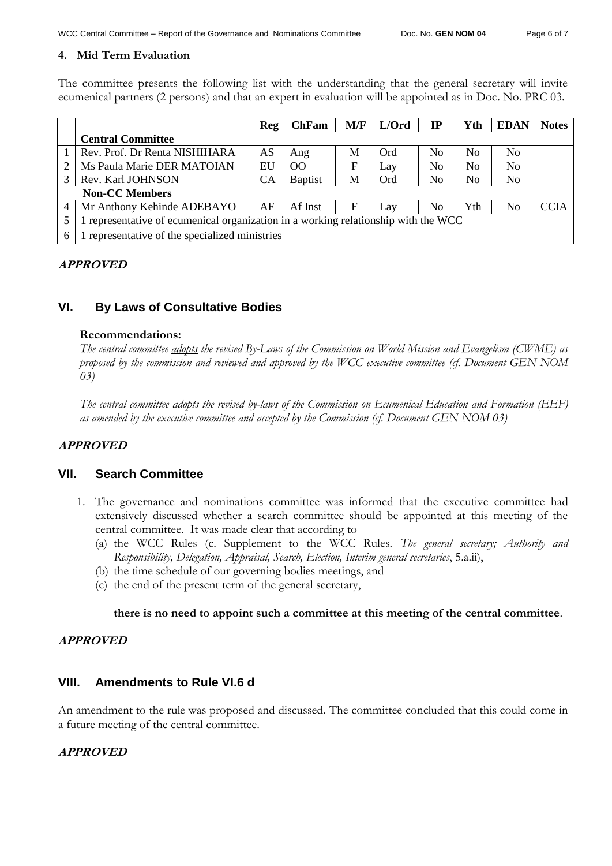### **4. Mid Term Evaluation**

The committee presents the following list with the understanding that the general secretary will invite ecumenical partners (2 persons) and that an expert in evaluation will be appointed as in Doc. No. PRC 03.

|   |                                                                                    | Reg       | <b>ChFam</b>   | M/F | L/Ord | IP             | Yth            | <b>EDAN</b>    | <b>Notes</b> |  |
|---|------------------------------------------------------------------------------------|-----------|----------------|-----|-------|----------------|----------------|----------------|--------------|--|
|   | <b>Central Committee</b>                                                           |           |                |     |       |                |                |                |              |  |
|   | Rev. Prof. Dr Renta NISHIHARA                                                      | AS        | Ang            | М   | Ord   | N <sub>0</sub> | N <sub>0</sub> | N <sub>0</sub> |              |  |
|   | Ms Paula Marie DER MATOIAN                                                         | EU        | O <sub>O</sub> | F   | Lay   | No             | N <sub>0</sub> | No             |              |  |
| 3 | Rev. Karl JOHNSON                                                                  | <b>CA</b> | <b>Baptist</b> | M   | Ord   | No             | No             | N <sub>0</sub> |              |  |
|   | <b>Non-CC Members</b>                                                              |           |                |     |       |                |                |                |              |  |
| 4 | Mr Anthony Kehinde ADEBAYO                                                         | AF        | Af Inst        | F   | Lav   | No             | Yth            | N <sub>0</sub> | <b>CCIA</b>  |  |
|   | 1 representative of ecumenical organization in a working relationship with the WCC |           |                |     |       |                |                |                |              |  |
| 6 | representative of the specialized ministries                                       |           |                |     |       |                |                |                |              |  |

### **APPROVED**

# **VI. By Laws of Consultative Bodies**

#### **Recommendations:**

*The central committee adopts the revised By-Laws of the Commission on World Mission and Evangelism (CWME) as proposed by the commission and reviewed and approved by the WCC executive committee (cf. Document GEN NOM 03)*

*The central committee adopts the revised by-laws of the Commission on Ecumenical Education and Formation (EEF) as amended by the executive committee and accepted by the Commission (cf. Document GEN NOM 03)*

## **APPROVED**

#### **VII. Search Committee**

- 1. The governance and nominations committee was informed that the executive committee had extensively discussed whether a search committee should be appointed at this meeting of the central committee. It was made clear that according to
	- (a) the WCC Rules (c. Supplement to the WCC Rules. *The general secretary; Authority and Responsibility, Delegation, Appraisal, Search, Election, Interim general secretaries*, 5.a.ii),
	- (b) the time schedule of our governing bodies meetings, and
	- (c) the end of the present term of the general secretary,

#### **there is no need to appoint such a committee at this meeting of the central committee**.

#### **APPROVED**

#### **VIII. Amendments to Rule VI.6 d**

An amendment to the rule was proposed and discussed. The committee concluded that this could come in a future meeting of the central committee.

#### **APPROVED**